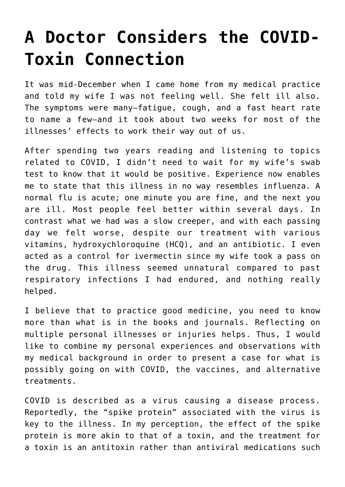## **[A Doctor Considers the COVID-](https://intellectualtakeout.org/2022/02/a-doctor-considers-the-covid-toxin-connection/)[Toxin Connection](https://intellectualtakeout.org/2022/02/a-doctor-considers-the-covid-toxin-connection/)**

It was mid-December when I came home from my medical practice and told my wife I was not feeling well. She felt ill also. The symptoms were many—fatigue, cough, and a fast heart rate to name a few—and it took about two weeks for most of the illnesses' effects to work their way out of us.

After spending two years reading and listening to topics related to COVID, I didn't need to wait for my wife's swab test to know that it would be positive. Experience now enables me to state that this illness in no way resembles influenza. A normal flu is acute; one minute you are fine, and the next you are ill. Most people feel better within several days. In contrast what we had was a slow creeper, and with each passing day we felt worse, despite our treatment with various vitamins, hydroxychloroquine (HCQ), and an antibiotic. I even acted as a control for ivermectin since my wife took a pass on the drug. This illness seemed unnatural compared to past respiratory infections I had endured, and nothing really helped.

I believe that to practice good medicine, you need to know more than what is in the books and journals. Reflecting on multiple personal illnesses or injuries helps. Thus, I would like to combine my personal experiences and observations with my medical background in order to present a case for what is possibly going on with COVID, the vaccines, and alternative treatments.

COVID is described as a virus causing a disease process. Reportedly, the "spike protein" associated with the virus is key to the illness. In my perception, the effect of the spike protein is more akin to that of a toxin, and the treatment for a toxin is an antitoxin rather than antiviral medications such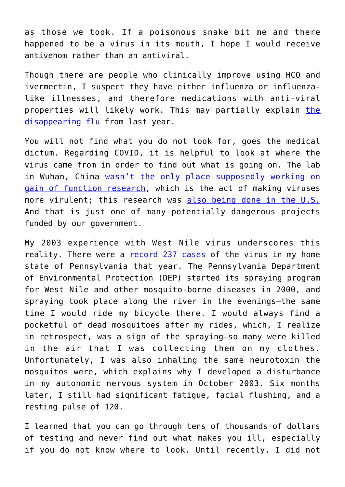as those we took. If a poisonous snake bit me and there happened to be a virus in its mouth, I hope I would receive antivenom rather than an antiviral.

Though there are people who clinically improve using HCQ and ivermectin, I suspect they have either influenza or influenzalike illnesses, and therefore medications with anti-viral properties will likely work. This may partially explain [the](https://www.cdc.gov/flu/season/faq-flu-season-2020-2021.htm) [disappearing flu](https://www.cdc.gov/flu/season/faq-flu-season-2020-2021.htm) from last year.

You will not find what you do not look for, goes the medical dictum. Regarding COVID, it is helpful to look at where the virus came from in order to find out what is going on. The lab in Wuhan, China [wasn't the only place supposedly working on](https://www.msn.com/en-us/health/medical/gain-of-function-research-what-it-is-and-who-is-doing-it-in-north-carolina/ar-AAMpEf6) [gain of function research](https://www.msn.com/en-us/health/medical/gain-of-function-research-what-it-is-and-who-is-doing-it-in-north-carolina/ar-AAMpEf6), which is the act of making viruses more virulent; this research was [also being done in the U.S.](https://www.newsweek.com/rand-paul-concerned-viruses-could-escape-us-labs-calls-hearing-1597383) And that is just one of many potentially dangerous projects funded by our government.

My 2003 experience with West Nile virus underscores this reality. There were a [record 237 cases](https://www.cdc.gov/westnile/statsmaps/cumMapsData.html#one) of the virus in my home state of Pennsylvania that year. The Pennsylvania Department of Environmental Protection (DEP) started its spraying program for West Nile and other mosquito-borne diseases in 2000, and spraying took place along the river in the evenings—the same time I would ride my bicycle there. I would always find a pocketful of dead mosquitoes after my rides, which, I realize in retrospect, was a sign of the spraying—so many were killed in the air that I was collecting them on my clothes. Unfortunately, I was also inhaling the same neurotoxin the mosquitos were, which explains why I developed a disturbance in my autonomic nervous system in October 2003. Six months later, I still had significant fatigue, facial flushing, and a resting pulse of 120.

I learned that you can go through tens of thousands of dollars of testing and never find out what makes you ill, especially if you do not know where to look. Until recently, I did not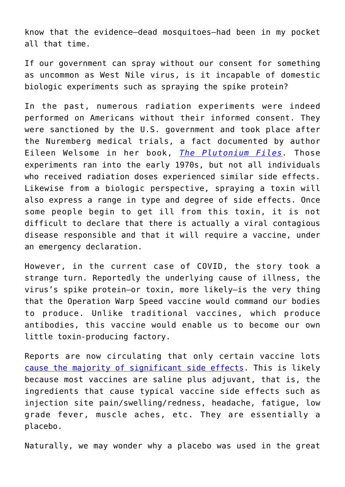know that the evidence—dead mosquitoes—had been in my pocket all that time.

If our government can spray without our consent for something as uncommon as West Nile virus, is it incapable of domestic biologic experiments such as spraying the spike protein?

In the past, numerous radiation experiments were indeed performed on Americans without their informed consent. They were sanctioned by the U.S. government and took place after the Nuremberg medical trials, a fact documented by author Eileen Welsome in her book, *[The Plutonium Files.](https://www.amazon.com/gp/product/0385314027/ref=as_li_qf_asin_il_tl?ie=UTF8&tag=intelltakeo0d-20&creative=9325&linkCode=as2&creativeASIN=0385314027&linkId=6e17c7eea6807a73fae87649adc58f74)* Those experiments ran into the early 1970s, but not all individuals who received radiation doses experienced similar side effects. Likewise from a biologic perspective, spraying a toxin will also express a range in type and degree of side effects. Once some people begin to get ill from this toxin, it is not difficult to declare that there is actually a viral contagious disease responsible and that it will require a vaccine, under an emergency declaration.

However, in the current case of COVID, the story took a strange turn. Reportedly the underlying cause of illness, the virus's spike protein—or toxin, more likely—is the very thing that the Operation Warp Speed vaccine would command our bodies to produce. Unlike traditional vaccines, which produce antibodies, this vaccine would enable us to become our own little toxin-producing factory.

Reports are now circulating that only certain vaccine lots [cause the majority of significant side effects.](https://www.naturalnews.com/2022-01-09-big-pharma-deploys-toxic-batches-covid-vaccine.html) This is likely because most vaccines are saline plus adjuvant, that is, the ingredients that cause typical vaccine side effects such as injection site pain/swelling/redness, headache, fatigue, low grade fever, muscle aches, etc. They are essentially a placebo.

Naturally, we may wonder why a placebo was used in the great